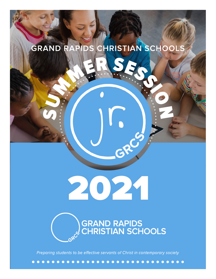# **GRAND RAPIDS CHRISTIAN SCHOOLS**



2021

GRES

Preparing students to be effective servants of Christ in contemporary society

 $\bullet\bullet\bullet$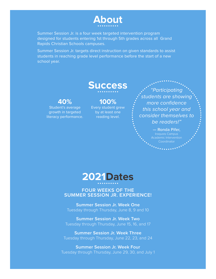

Summer Session Jr. is a four week targeted intervention program designed for students entering 1st through 5th grades across all Grand Rapids Christian Schools campuses.

Summer Session Jr. targets direct instruction on given standards to assist students in reaching grade level performance before the start of a new school year.





#### **FOUR WEEKS OF THE SUMMER SESSION JR. EXPERIENCE!**

**Summer Session Jr. Week One** Tuesday through Thursday, June 8, 9 and 10

**Summer Session Jr. Week Two** Tuesday through Thursday, June 15, 16, and 17

**Summer Session Jr. Week Three** Tuesday through Thursday, June 22, 23, and 24

**Summer Session Jr. Week Four** Tuesday through Thursday, June 29, 30, and July 1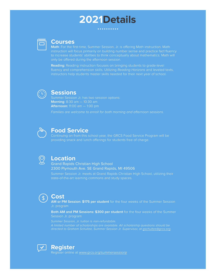# **2021Details**

#### **Courses**

**Math**: For the first time, Summer Session, Jr. is offering Math instruction. Math instruction will focus primarily on building number sense and practice fact fluency to increase students' abilities to think conceptually about mathematics. Math will only be offered during the afternoon session.

**Reading:** Reading instruction focuses on bringing students to grade-level fluency and comprehension skills. Utilizing Reading Horizons and leveled texts, instructors help students master skills needed for their next year of school.



### **Sessions**

Summer Session Jr. has two session options: **Morning**: 8:30 am — 10:30 am **Afternoon:** 11:00 am — 1:00 pm



### **Food Service**

Continuing on from this school year, the GRCS Food Service Program will be providing snack and lunch offerings for students free of charge.



#### **Location**

Grand Rapids Christian High School 2300 Plymouth Ave. SE Grand Rapids, MI 49506

Summer Session Jr. meets at Grand Rapids Christian High School, utilizing their state-of-the-art learning commons and study spaces.



## **Cost**

**AM or PM Session: \$175 per student** for the four weeks of the Summer Session Jr. program

**Both AM and PM Sessions: \$300 per student** for the four weeks of the Summer Session Jr. program

directed to Graham Schultze, Summer Session Jr. Supervisor, at gschultze@grcs.org.



#### **Register**

Register online at www.grcs.org/summersessionjr